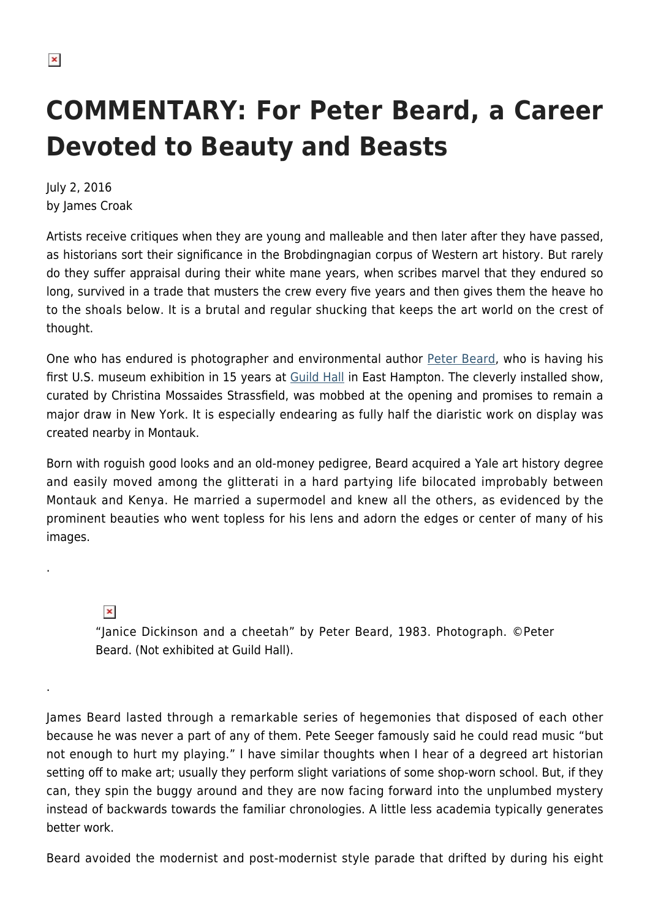## **COMMENTARY: For Peter Beard, a Career Devoted to Beauty and Beasts**

July 2, 2016 by James Croak

Artists receive critiques when they are young and malleable and then later after they have passed, as historians sort their significance in the Brobdingnagian corpus of Western art history. But rarely do they suffer appraisal during their white mane years, when scribes marvel that they endured so long, survived in a trade that musters the crew every five years and then gives them the heave ho to the shoals below. It is a brutal and regular shucking that keeps the art world on the crest of thought.

One who has endured is photographer and environmental author [Peter Beard,](https://hamptonsarthub.com/2016/06/15/exhibitions-peter-beard-photography-opens-guild-hall-summer-season/) who is having his first U.S. museum exhibition in 15 years at [Guild Hall](https://hamptonsarthub.com/museum-guide/guild-hall/) in East Hampton. The cleverly installed show, curated by Christina Mossaides Strassfield, was mobbed at the opening and promises to remain a major draw in New York. It is especially endearing as fully half the diaristic work on display was created nearby in Montauk.

Born with roguish good looks and an old-money pedigree, Beard acquired a Yale art history degree and easily moved among the glitterati in a hard partying life bilocated improbably between Montauk and Kenya. He married a supermodel and knew all the others, as evidenced by the prominent beauties who went topless for his lens and adorn the edges or center of many of his images.

 $\pmb{\times}$ 

.

.

"Janice Dickinson and a cheetah" by Peter Beard, 1983. Photograph. ©Peter Beard. (Not exhibited at Guild Hall).

James Beard lasted through a remarkable series of hegemonies that disposed of each other because he was never a part of any of them. Pete Seeger famously said he could read music "but not enough to hurt my playing." I have similar thoughts when I hear of a degreed art historian setting off to make art; usually they perform slight variations of some shop-worn school. But, if they can, they spin the buggy around and they are now facing forward into the unplumbed mystery instead of backwards towards the familiar chronologies. A little less academia typically generates better work.

Beard avoided the modernist and post-modernist style parade that drifted by during his eight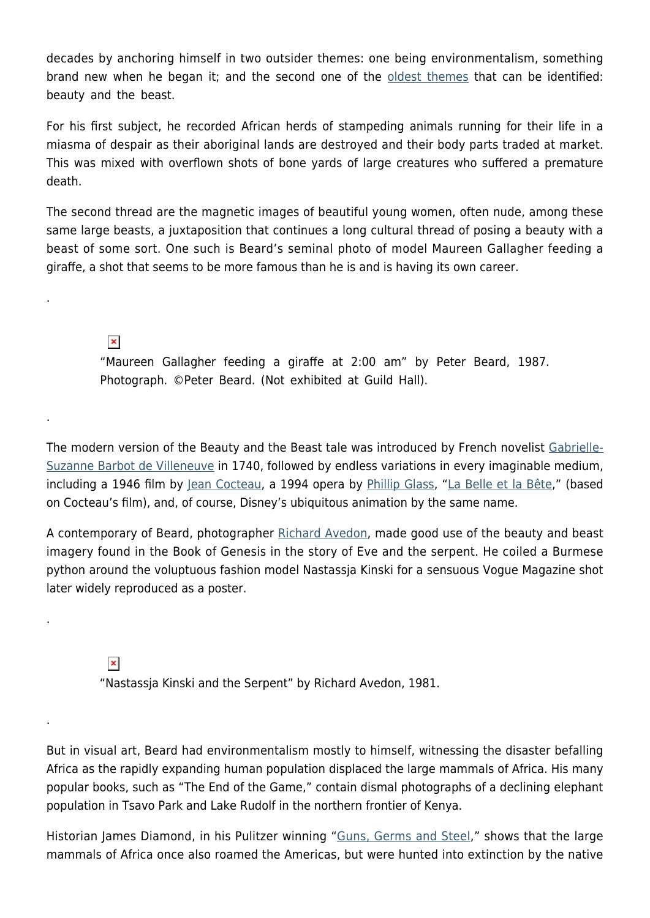decades by anchoring himself in two outsider themes: one being environmentalism, something brand new when he began it; and the second one of the [oldest themes](http://www.bbc.com/news/uk-35358487) that can be identified: beauty and the beast.

For his first subject, he recorded African herds of stampeding animals running for their life in a miasma of despair as their aboriginal lands are destroyed and their body parts traded at market. This was mixed with overflown shots of bone yards of large creatures who suffered a premature death.

The second thread are the magnetic images of beautiful young women, often nude, among these same large beasts, a juxtaposition that continues a long cultural thread of posing a beauty with a beast of some sort. One such is Beard's seminal photo of model Maureen Gallagher feeding a giraffe, a shot that seems to be more famous than he is and is having its own career.

 $\pmb{\times}$ 

.

.

.

.

"Maureen Gallagher feeding a giraffe at 2:00 am" by Peter Beard, 1987. Photograph. ©Peter Beard. (Not exhibited at Guild Hall).

The modern version of the Beauty and the Beast tale was introduced by French novelist [Gabrielle-](https://en.wikipedia.org/wiki/Gabrielle-Suzanne_Barbot_de_Villeneuve)[Suzanne Barbot de Villeneuve](https://en.wikipedia.org/wiki/Gabrielle-Suzanne_Barbot_de_Villeneuve) in 1740, followed by endless variations in every imaginable medium, including a 1946 film by [Jean Cocteau](https://en.wikipedia.org/wiki/Jean_Cocteau), a 1994 opera by [Phillip Glass,](http://www.philipglass.com/) ["La Belle et la Bête,](https://www.youtube.com/watch?v=ee2NukKPqxE)" (based on Cocteau's film), and, of course, Disney's ubiquitous animation by the same name.

A contemporary of Beard, photographer [Richard Avedon,](http://www.avedonfoundation.org/) made good use of the beauty and beast imagery found in the Book of Genesis in the story of Eve and the serpent. He coiled a Burmese python around the voluptuous fashion model Nastassja Kinski for a sensuous Vogue Magazine shot later widely reproduced as a poster.

 $\pmb{\times}$ 

"Nastassja Kinski and the Serpent" by Richard Avedon, 1981.

But in visual art, Beard had environmentalism mostly to himself, witnessing the disaster befalling Africa as the rapidly expanding human population displaced the large mammals of Africa. His many popular books, such as "The End of the Game," contain dismal photographs of a declining elephant population in Tsavo Park and Lake Rudolf in the northern frontier of Kenya.

Historian James Diamond, in his Pulitzer winning "[Guns, Germs and Steel](https://www.amazon.com/Guns-Germs-Steel-Fates-Societies/dp/0393317552/ref=sr_1_1?s=books&ie=UTF8&qid=1466768818&sr=1-1&keywords=guns+germs+steel)," shows that the large mammals of Africa once also roamed the Americas, but were hunted into extinction by the native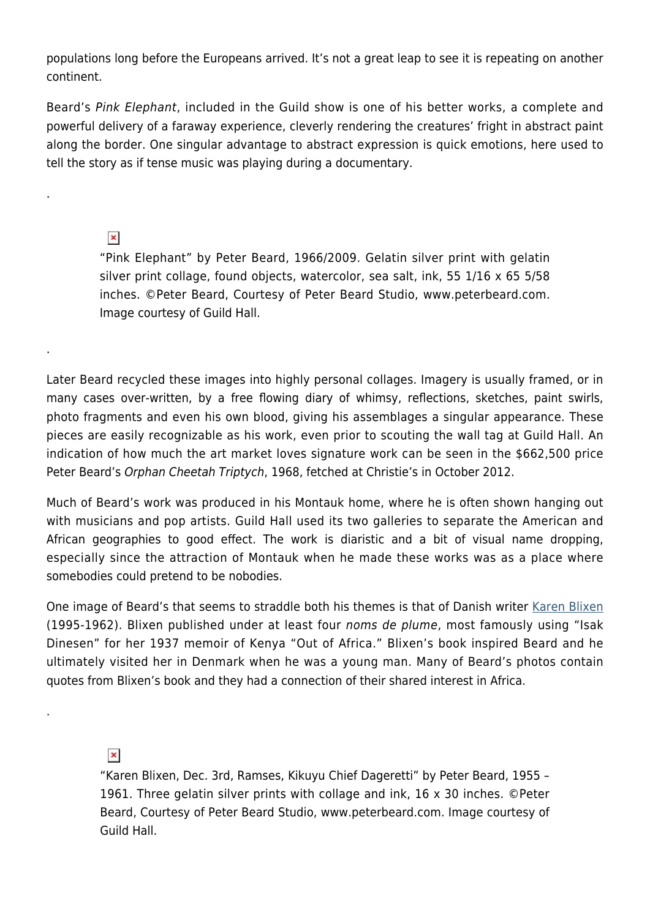populations long before the Europeans arrived. It's not a great leap to see it is repeating on another continent.

Beard's Pink Elephant, included in the Guild show is one of his better works, a complete and powerful delivery of a faraway experience, cleverly rendering the creatures' fright in abstract paint along the border. One singular advantage to abstract expression is quick emotions, here used to tell the story as if tense music was playing during a documentary.

 $\pmb{\times}$ 

.

.

.

"Pink Elephant" by Peter Beard, 1966/2009. Gelatin silver print with gelatin silver print collage, found objects, watercolor, sea salt, ink, 55 1/16 x 65 5/58 inches. ©Peter Beard, Courtesy of Peter Beard Studio, www.peterbeard.com. Image courtesy of Guild Hall.

Later Beard recycled these images into highly personal collages. Imagery is usually framed, or in many cases over-written, by a free flowing diary of whimsy, reflections, sketches, paint swirls, photo fragments and even his own blood, giving his assemblages a singular appearance. These pieces are easily recognizable as his work, even prior to scouting the wall tag at Guild Hall. An indication of how much the art market loves signature work can be seen in the \$662,500 price Peter Beard's Orphan Cheetah Triptych, 1968, fetched at Christie's in October 2012.

Much of Beard's work was produced in his Montauk home, where he is often shown hanging out with musicians and pop artists. Guild Hall used its two galleries to separate the American and African geographies to good effect. The work is diaristic and a bit of visual name dropping, especially since the attraction of Montauk when he made these works was as a place where somebodies could pretend to be nobodies.

One image of Beard's that seems to straddle both his themes is that of Danish writer [Karen Blixen](https://en.wikipedia.org/wiki/Karen_Blixen) (1995-1962). Blixen published under at least four noms de plume, most famously using "Isak Dinesen" for her 1937 memoir of Kenya "Out of Africa." Blixen's book inspired Beard and he ultimately visited her in Denmark when he was a young man. Many of Beard's photos contain quotes from Blixen's book and they had a connection of their shared interest in Africa.

 $\pmb{\times}$ 

"Karen Blixen, Dec. 3rd, Ramses, Kikuyu Chief Dageretti" by Peter Beard, 1955 – 1961. Three gelatin silver prints with collage and ink, 16 x 30 inches. ©Peter Beard, Courtesy of Peter Beard Studio, www.peterbeard.com. Image courtesy of Guild Hall.